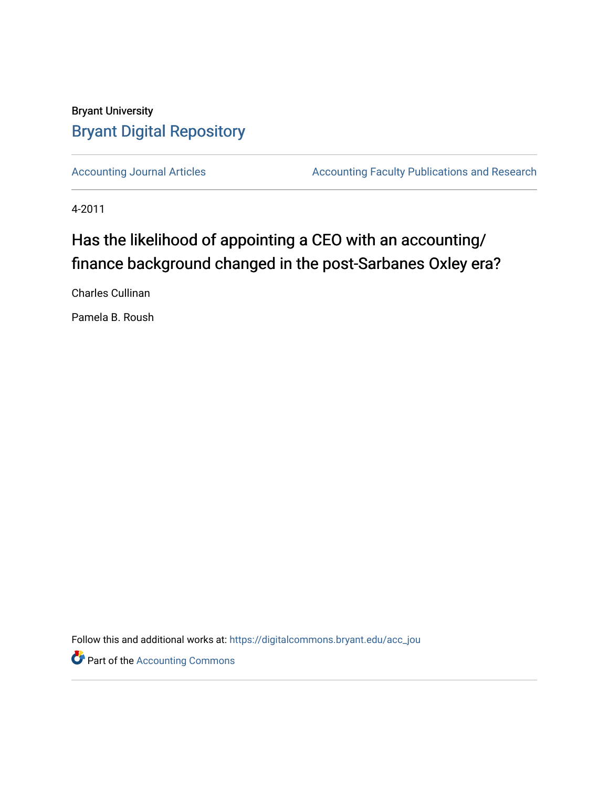# Bryant University [Bryant Digital Repository](https://digitalcommons.bryant.edu/)

[Accounting Journal Articles](https://digitalcommons.bryant.edu/acc_jou) **Accounting Faculty Publications and Research** 

4-2011

# Has the likelihood of appointing a CEO with an accounting/ finance background changed in the post-Sarbanes Oxley era?

Charles Cullinan

Pamela B. Roush

Follow this and additional works at: [https://digitalcommons.bryant.edu/acc\\_jou](https://digitalcommons.bryant.edu/acc_jou?utm_source=digitalcommons.bryant.edu%2Facc_jou%2F145&utm_medium=PDF&utm_campaign=PDFCoverPages)

**Part of the [Accounting Commons](http://network.bepress.com/hgg/discipline/625?utm_source=digitalcommons.bryant.edu%2Facc_jou%2F145&utm_medium=PDF&utm_campaign=PDFCoverPages)**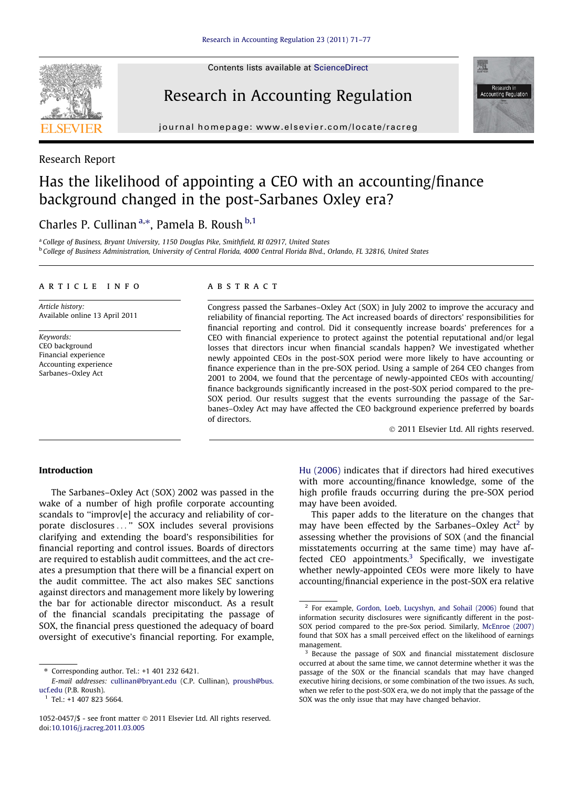Contents lists available at [ScienceDirect](http://www.sciencedirect.com/science/journal/10520457)



Research in Accounting Regulation



journal homepage: [www.elsevier.com/locate/racreg](http://www.elsevier.com/locate/racreg)

Research Report

# Has the likelihood of appointing a CEO with an accounting/finance background changed in the post-Sarbanes Oxley era?

Charles P. Cullinan <sup>a,\*</sup>, Pamela B. Roush <sup>b,1</sup>

<sup>a</sup> College of Business, Bryant University, 1150 Douglas Pike, Smithfield, RI 02917, United States <sup>b</sup> College of Business Administration, University of Central Florida, 4000 Central Florida Blvd., Orlando, FL 32816, United States

#### article info

Article history: Available online 13 April 2011

Keywords: CEO background Financial experience Accounting experience Sarbanes–Oxley Act

# **ABSTRACT**

Congress passed the Sarbanes–Oxley Act (SOX) in July 2002 to improve the accuracy and reliability of financial reporting. The Act increased boards of directors' responsibilities for financial reporting and control. Did it consequently increase boards' preferences for a CEO with financial experience to protect against the potential reputational and/or legal losses that directors incur when financial scandals happen? We investigated whether newly appointed CEOs in the post-SOX period were more likely to have accounting or finance experience than in the pre-SOX period. Using a sample of 264 CEO changes from 2001 to 2004, we found that the percentage of newly-appointed CEOs with accounting/ finance backgrounds significantly increased in the post-SOX period compared to the pre-SOX period. Our results suggest that the events surrounding the passage of the Sarbanes–Oxley Act may have affected the CEO background experience preferred by boards of directors.

- 2011 Elsevier Ltd. All rights reserved.

## Introduction

The Sarbanes–Oxley Act (SOX) 2002 was passed in the wake of a number of high profile corporate accounting scandals to ''improv[e] the accuracy and reliability of corporate disclosures ... '' SOX includes several provisions clarifying and extending the board's responsibilities for financial reporting and control issues. Boards of directors are required to establish audit committees, and the act creates a presumption that there will be a financial expert on the audit committee. The act also makes SEC sanctions against directors and management more likely by lowering the bar for actionable director misconduct. As a result of the financial scandals precipitating the passage of SOX, the financial press questioned the adequacy of board oversight of executive's financial reporting. For example,

[Hu \(2006\)](#page-7-0) indicates that if directors had hired executives with more accounting/finance knowledge, some of the high profile frauds occurring during the pre-SOX period may have been avoided.

This paper adds to the literature on the changes that may have been effected by the Sarbanes–Oxley  $Act<sup>2</sup>$  by assessing whether the provisions of SOX (and the financial misstatements occurring at the same time) may have affected CEO appointments. $3$  Specifically, we investigate whether newly-appointed CEOs were more likely to have accounting/financial experience in the post-SOX era relative

<sup>⇑</sup> Corresponding author. Tel.: +1 401 232 6421.

E-mail addresses: [cullinan@bryant.edu](mailto:cullinan@bryant.edu) (C.P. Cullinan), [proush@bus.](mailto:proush@bus. ucf.edu) [ucf.edu](mailto:proush@bus. ucf.edu) (P.B. Roush).

<sup>&</sup>lt;sup>1</sup> Tel.: +1 407 823 5664.

<sup>1052-0457/\$ -</sup> see front matter © 2011 Elsevier Ltd. All rights reserved. doi:[10.1016/j.racreg.2011.03.005](http://dx.doi.org/10.1016/j.racreg.2011.03.005)

<sup>2</sup> For example, [Gordon, Loeb, Lucyshyn, and Sohail \(2006\)](#page-7-0) found that information security disclosures were significantly different in the post-SOX period compared to the pre-Sox period. Similarly, [McEnroe \(2007\)](#page-7-0) found that SOX has a small perceived effect on the likelihood of earnings management.

<sup>&</sup>lt;sup>3</sup> Because the passage of SOX and financial misstatement disclosure occurred at about the same time, we cannot determine whether it was the passage of the SOX or the financial scandals that may have changed executive hiring decisions, or some combination of the two issues. As such, when we refer to the post-SOX era, we do not imply that the passage of the SOX was the only issue that may have changed behavior.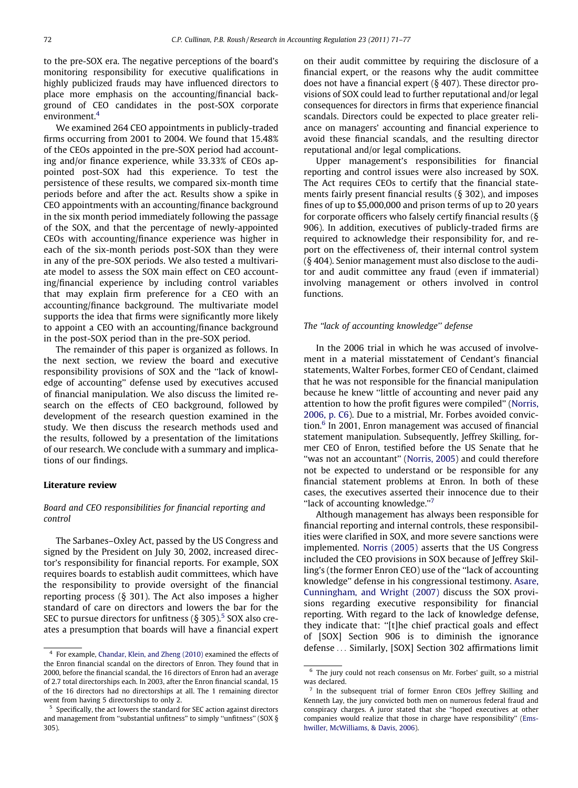to the pre-SOX era. The negative perceptions of the board's monitoring responsibility for executive qualifications in highly publicized frauds may have influenced directors to place more emphasis on the accounting/financial background of CEO candidates in the post-SOX corporate environment.4

We examined 264 CEO appointments in publicly-traded firms occurring from 2001 to 2004. We found that 15.48% of the CEOs appointed in the pre-SOX period had accounting and/or finance experience, while 33.33% of CEOs appointed post-SOX had this experience. To test the persistence of these results, we compared six-month time periods before and after the act. Results show a spike in CEO appointments with an accounting/finance background in the six month period immediately following the passage of the SOX, and that the percentage of newly-appointed CEOs with accounting/finance experience was higher in each of the six-month periods post-SOX than they were in any of the pre-SOX periods. We also tested a multivariate model to assess the SOX main effect on CEO accounting/financial experience by including control variables that may explain firm preference for a CEO with an accounting/finance background. The multivariate model supports the idea that firms were significantly more likely to appoint a CEO with an accounting/finance background in the post-SOX period than in the pre-SOX period.

The remainder of this paper is organized as follows. In the next section, we review the board and executive responsibility provisions of SOX and the ''lack of knowledge of accounting'' defense used by executives accused of financial manipulation. We also discuss the limited research on the effects of CEO background, followed by development of the research question examined in the study. We then discuss the research methods used and the results, followed by a presentation of the limitations of our research. We conclude with a summary and implications of our findings.

#### Literature review

## Board and CEO responsibilities for financial reporting and control

The Sarbanes–Oxley Act, passed by the US Congress and signed by the President on July 30, 2002, increased director's responsibility for financial reports. For example, SOX requires boards to establish audit committees, which have the responsibility to provide oversight of the financial reporting process ( $\S$  301). The Act also imposes a higher standard of care on directors and lowers the bar for the SEC to pursue directors for unfitness ( $\S$  305).<sup>5</sup> SOX also creates a presumption that boards will have a financial expert on their audit committee by requiring the disclosure of a financial expert, or the reasons why the audit committee does not have a financial expert ( $\delta$  407). These director provisions of SOX could lead to further reputational and/or legal consequences for directors in firms that experience financial scandals. Directors could be expected to place greater reliance on managers' accounting and financial experience to avoid these financial scandals, and the resulting director reputational and/or legal complications.

Upper management's responsibilities for financial reporting and control issues were also increased by SOX. The Act requires CEOs to certify that the financial statements fairly present financial results (§ 302), and imposes fines of up to \$5,000,000 and prison terms of up to 20 years for corporate officers who falsely certify financial results  $(\S$ 906). In addition, executives of publicly-traded firms are required to acknowledge their responsibility for, and report on the effectiveness of, their internal control system  $(\S 404)$ . Senior management must also disclose to the auditor and audit committee any fraud (even if immaterial) involving management or others involved in control functions.

#### The ''lack of accounting knowledge'' defense

In the 2006 trial in which he was accused of involvement in a material misstatement of Cendant's financial statements, Walter Forbes, former CEO of Cendant, claimed that he was not responsible for the financial manipulation because he knew ''little of accounting and never paid any attention to how the profit figures were compiled'' [\(Norris,](#page-7-0) [2006, p. C6\)](#page-7-0). Due to a mistrial, Mr. Forbes avoided conviction.6 In 2001, Enron management was accused of financial statement manipulation. Subsequently, Jeffrey Skilling, former CEO of Enron, testified before the US Senate that he ''was not an accountant'' [\(Norris, 2005](#page-7-0)) and could therefore not be expected to understand or be responsible for any financial statement problems at Enron. In both of these cases, the executives asserted their innocence due to their ''lack of accounting knowledge.''<sup>7</sup>

Although management has always been responsible for financial reporting and internal controls, these responsibilities were clarified in SOX, and more severe sanctions were implemented. [Norris \(2005\)](#page-7-0) asserts that the US Congress included the CEO provisions in SOX because of Jeffrey Skilling's (the former Enron CEO) use of the ''lack of accounting knowledge'' defense in his congressional testimony. [Asare,](#page-7-0) [Cunningham, and Wright \(2007\)](#page-7-0) discuss the SOX provisions regarding executive responsibility for financial reporting. With regard to the lack of knowledge defense, they indicate that: ''[t]he chief practical goals and effect of [SOX] Section 906 is to diminish the ignorance defense ... Similarly, [SOX] Section 302 affirmations limit <sup>4</sup> For example, [Chandar, Klein, and Zheng \(2010\)](#page-7-0) examined the effects of

the Enron financial scandal on the directors of Enron. They found that in 2000, before the financial scandal, the 16 directors of Enron had an average of 2.7 total directorships each. In 2003, after the Enron financial scandal, 15 of the 16 directors had no directorships at all. The 1 remaining director went from having 5 directorships to only 2.

<sup>5</sup> Specifically, the act lowers the standard for SEC action against directors and management from "substantial unfitness" to simply "unfitness" (SOX § 305).

<sup>6</sup> The jury could not reach consensus on Mr. Forbes' guilt, so a mistrial was declared.

In the subsequent trial of former Enron CEOs Jeffrey Skilling and Kenneth Lay, the jury convicted both men on numerous federal fraud and conspiracy charges. A juror stated that she ''hoped executives at other companies would realize that those in charge have responsibility'' [\(Ems](#page-7-0)[hwiller, McWilliams, & Davis, 2006\)](#page-7-0).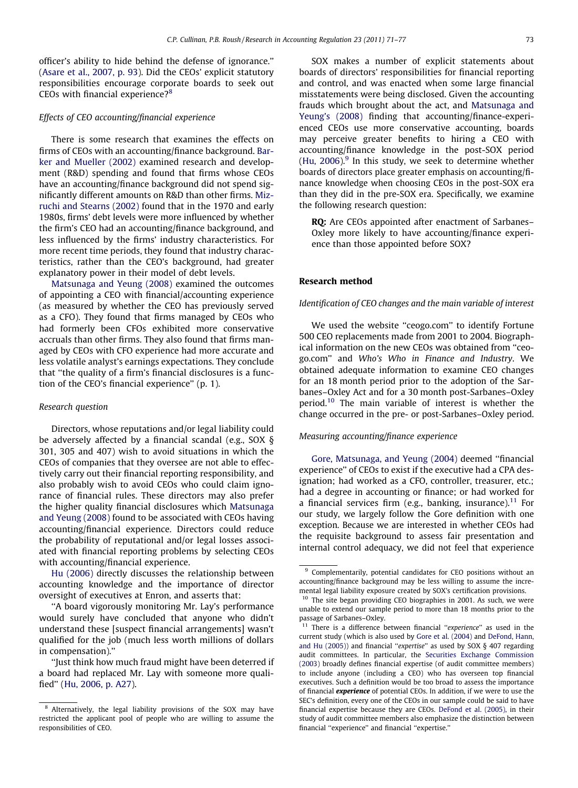officer's ability to hide behind the defense of ignorance.'' ([Asare et al., 2007, p. 93\)](#page-7-0). Did the CEOs' explicit statutory responsibilities encourage corporate boards to seek out CEOs with financial experience?8

#### Effects of CEO accounting/financial experience

There is some research that examines the effects on firms of CEOs with an accounting/finance background. [Bar](#page-7-0)[ker and Mueller \(2002\)](#page-7-0) examined research and development (R&D) spending and found that firms whose CEOs have an accounting/finance background did not spend significantly different amounts on R&D than other firms. [Miz](#page-7-0)[ruchi and Stearns \(2002\)](#page-7-0) found that in the 1970 and early 1980s, firms' debt levels were more influenced by whether the firm's CEO had an accounting/finance background, and less influenced by the firms' industry characteristics. For more recent time periods, they found that industry characteristics, rather than the CEO's background, had greater explanatory power in their model of debt levels.

[Matsunaga and Yeung \(2008\)](#page-7-0) examined the outcomes of appointing a CEO with financial/accounting experience (as measured by whether the CEO has previously served as a CFO). They found that firms managed by CEOs who had formerly been CFOs exhibited more conservative accruals than other firms. They also found that firms managed by CEOs with CFO experience had more accurate and less volatile analyst's earnings expectations. They conclude that ''the quality of a firm's financial disclosures is a function of the CEO's financial experience'' (p. 1).

#### Research question

Directors, whose reputations and/or legal liability could be adversely affected by a financial scandal (e.g., SOX § 301, 305 and 407) wish to avoid situations in which the CEOs of companies that they oversee are not able to effectively carry out their financial reporting responsibility, and also probably wish to avoid CEOs who could claim ignorance of financial rules. These directors may also prefer the higher quality financial disclosures which [Matsunaga](#page-7-0) [and Yeung \(2008\)](#page-7-0) found to be associated with CEOs having accounting/financial experience. Directors could reduce the probability of reputational and/or legal losses associated with financial reporting problems by selecting CEOs with accounting/financial experience.

[Hu \(2006\)](#page-7-0) directly discusses the relationship between accounting knowledge and the importance of director oversight of executives at Enron, and asserts that:

''A board vigorously monitoring Mr. Lay's performance would surely have concluded that anyone who didn't understand these [suspect financial arrangements] wasn't qualified for the job (much less worth millions of dollars in compensation).''

''Just think how much fraud might have been deterred if a board had replaced Mr. Lay with someone more qualified'' ([Hu, 2006, p. A27\)](#page-7-0).

SOX makes a number of explicit statements about boards of directors' responsibilities for financial reporting and control, and was enacted when some large financial misstatements were being disclosed. Given the accounting frauds which brought about the act, and [Matsunaga and](#page-7-0) [Yeung's \(2008\)](#page-7-0) finding that accounting/finance-experienced CEOs use more conservative accounting, boards may perceive greater benefits to hiring a CEO with accounting/finance knowledge in the post-SOX period [\(Hu, 2006](#page-7-0)). $9$  In this study, we seek to determine whether boards of directors place greater emphasis on accounting/finance knowledge when choosing CEOs in the post-SOX era than they did in the pre-SOX era. Specifically, we examine the following research question:

RQ: Are CEOs appointed after enactment of Sarbanes– Oxley more likely to have accounting/finance experience than those appointed before SOX?

#### Research method

#### Identification of CEO changes and the main variable of interest

We used the website ''ceogo.com'' to identify Fortune 500 CEO replacements made from 2001 to 2004. Biographical information on the new CEOs was obtained from ''ceogo.com'' and Who's Who in Finance and Industry. We obtained adequate information to examine CEO changes for an 18 month period prior to the adoption of the Sarbanes–Oxley Act and for a 30 month post-Sarbanes–Oxley period.10 The main variable of interest is whether the change occurred in the pre- or post-Sarbanes–Oxley period.

### Measuring accounting/finance experience

[Gore, Matsunaga, and Yeung \(2004\)](#page-7-0) deemed ''financial experience'' of CEOs to exist if the executive had a CPA designation; had worked as a CFO, controller, treasurer, etc.; had a degree in accounting or finance; or had worked for a financial services firm (e.g., banking, insurance). $^{11}$  For our study, we largely follow the Gore definition with one exception. Because we are interested in whether CEOs had the requisite background to assess fair presentation and internal control adequacy, we did not feel that experience

<sup>8</sup> Alternatively, the legal liability provisions of the SOX may have restricted the applicant pool of people who are willing to assume the responsibilities of CEO.

<sup>&</sup>lt;sup>9</sup> Complementarily, potential candidates for CEO positions without an accounting/finance background may be less willing to assume the incremental legal liability exposure created by SOX's certification provisions.

<sup>&</sup>lt;sup>10</sup> The site began providing CEO biographies in 2001. As such, we were unable to extend our sample period to more than 18 months prior to the passage of Sarbanes–Oxley.

<sup>&</sup>lt;sup>11</sup> There is a difference between financial "experience" as used in the current study (which is also used by [Gore et al. \(2004\)](#page-7-0) and [DeFond, Hann,](#page-7-0) [and Hu \(2005\)](#page-7-0)) and financial "expertise" as used by SOX  $\S$  407 regarding audit committees. In particular, the [Securities Exchange Commission](#page-7-0) [\(2003\)](#page-7-0) broadly defines financial expertise (of audit committee members) to include anyone (including a CEO) who has overseen top financial executives. Such a definition would be too broad to assess the importance of financial *experience* of potential CEOs. In addition, if we were to use the SEC's definition, every one of the CEOs in our sample could be said to have financial expertise because they are CEOs. [DeFond et al. \(2005\)](#page-7-0), in their study of audit committee members also emphasize the distinction between financial ''experience'' and financial ''expertise.''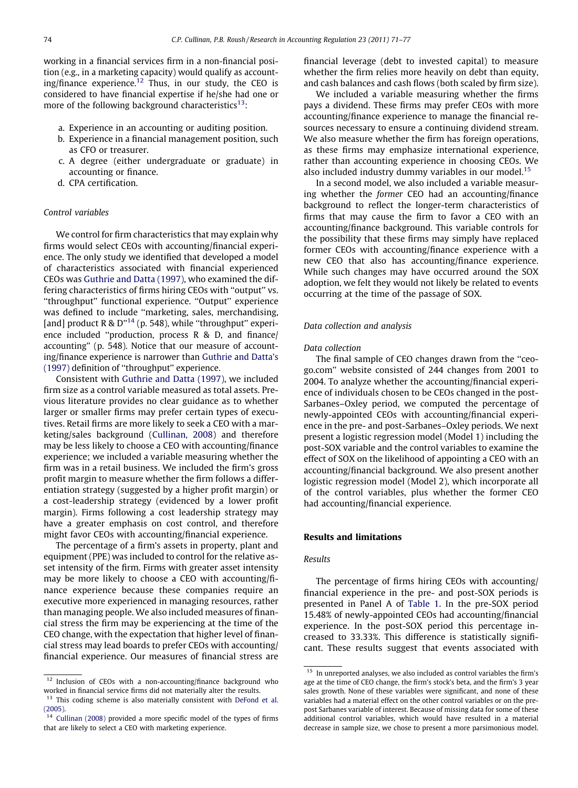working in a financial services firm in a non-financial position (e.g., in a marketing capacity) would qualify as accounting/finance experience.<sup>12</sup> Thus, in our study, the CEO is considered to have financial expertise if he/she had one or more of the following background characteristics $^{13}$ :

- a. Experience in an accounting or auditing position.
- b. Experience in a financial management position, such as CFO or treasurer.
- c. A degree (either undergraduate or graduate) in accounting or finance.
- d. CPA certification.

#### Control variables

We control for firm characteristics that may explain why firms would select CEOs with accounting/financial experience. The only study we identified that developed a model of characteristics associated with financial experienced CEOs was [Guthrie and Datta \(1997\)](#page-7-0), who examined the differing characteristics of firms hiring CEOs with ''output'' vs. ''throughput'' functional experience. ''Output'' experience was defined to include ''marketing, sales, merchandising, [and] product R &  $D''^{14}$  (p. 548), while "throughput" experience included ''production, process R & D, and finance/ accounting'' (p. 548). Notice that our measure of accounting/finance experience is narrower than [Guthrie and Datta's](#page-7-0) [\(1997\)](#page-7-0) definition of ''throughput'' experience.

Consistent with [Guthrie and Datta \(1997\)](#page-7-0), we included firm size as a control variable measured as total assets. Previous literature provides no clear guidance as to whether larger or smaller firms may prefer certain types of executives. Retail firms are more likely to seek a CEO with a marketing/sales background [\(Cullinan, 2008\)](#page-7-0) and therefore may be less likely to choose a CEO with accounting/finance experience; we included a variable measuring whether the firm was in a retail business. We included the firm's gross profit margin to measure whether the firm follows a differentiation strategy (suggested by a higher profit margin) or a cost-leadership strategy (evidenced by a lower profit margin). Firms following a cost leadership strategy may have a greater emphasis on cost control, and therefore might favor CEOs with accounting/financial experience.

The percentage of a firm's assets in property, plant and equipment (PPE) was included to control for the relative asset intensity of the firm. Firms with greater asset intensity may be more likely to choose a CEO with accounting/finance experience because these companies require an executive more experienced in managing resources, rather than managing people. We also included measures of financial stress the firm may be experiencing at the time of the CEO change, with the expectation that higher level of financial stress may lead boards to prefer CEOs with accounting/ financial experience. Our measures of financial stress are financial leverage (debt to invested capital) to measure whether the firm relies more heavily on debt than equity, and cash balances and cash flows (both scaled by firm size).

We included a variable measuring whether the firms pays a dividend. These firms may prefer CEOs with more accounting/finance experience to manage the financial resources necessary to ensure a continuing dividend stream. We also measure whether the firm has foreign operations, as these firms may emphasize international experience, rather than accounting experience in choosing CEOs. We also included industry dummy variables in our model.<sup>15</sup>

In a second model, we also included a variable measuring whether the former CEO had an accounting/finance background to reflect the longer-term characteristics of firms that may cause the firm to favor a CEO with an accounting/finance background. This variable controls for the possibility that these firms may simply have replaced former CEOs with accounting/finance experience with a new CEO that also has accounting/finance experience. While such changes may have occurred around the SOX adoption, we felt they would not likely be related to events occurring at the time of the passage of SOX.

#### Data collection and analysis

#### Data collection

The final sample of CEO changes drawn from the ''ceogo.com'' website consisted of 244 changes from 2001 to 2004. To analyze whether the accounting/financial experience of individuals chosen to be CEOs changed in the post-Sarbanes–Oxley period, we computed the percentage of newly-appointed CEOs with accounting/financial experience in the pre- and post-Sarbanes–Oxley periods. We next present a logistic regression model (Model 1) including the post-SOX variable and the control variables to examine the effect of SOX on the likelihood of appointing a CEO with an accounting/financial background. We also present another logistic regression model (Model 2), which incorporate all of the control variables, plus whether the former CEO had accounting/financial experience.

# Results and limitations

#### Results

The percentage of firms hiring CEOs with accounting/ financial experience in the pre- and post-SOX periods is presented in Panel A of [Table 1.](#page-5-0) In the pre-SOX period 15.48% of newly-appointed CEOs had accounting/financial experience. In the post-SOX period this percentage increased to 33.33%. This difference is statistically significant. These results suggest that events associated with

<sup>&</sup>lt;sup>12</sup> Inclusion of CEOs with a non-accounting/finance background who worked in financial service firms did not materially alter the results.

<sup>&</sup>lt;sup>13</sup> This coding scheme is also materially consistent with [DeFond et al.](#page-7-0) [\(2005\).](#page-7-0)

<sup>&</sup>lt;sup>14</sup> [Cullinan \(2008\)](#page-7-0) provided a more specific model of the types of firms that are likely to select a CEO with marketing experience.

<sup>&</sup>lt;sup>15</sup> In unreported analyses, we also included as control variables the firm's age at the time of CEO change, the firm's stock's beta, and the firm's 3 year sales growth. None of these variables were significant, and none of these variables had a material effect on the other control variables or on the prepost Sarbanes variable of interest. Because of missing data for some of these additional control variables, which would have resulted in a material decrease in sample size, we chose to present a more parsimonious model.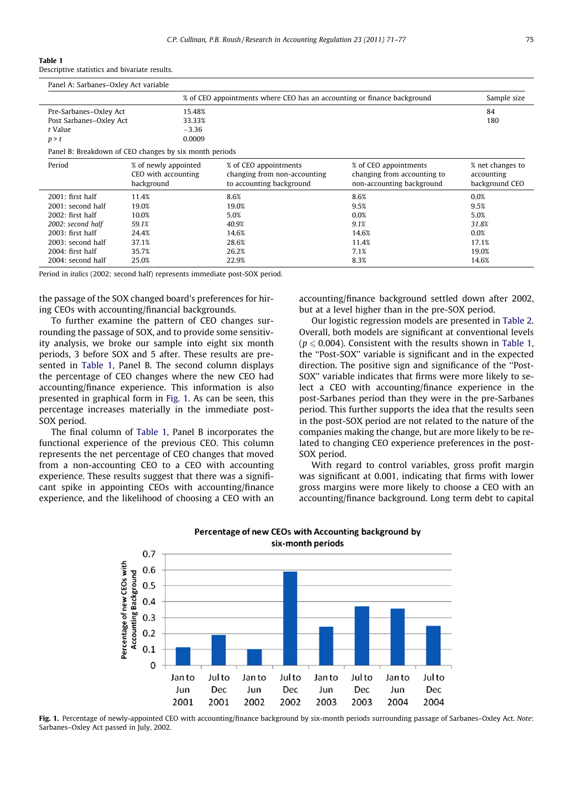<span id="page-5-0"></span>

| Table 1                                  |  |  |
|------------------------------------------|--|--|
| 1 است میشونه و استفاده به استفاده برای ا |  |  |

scriptive statistics and bivariate results.

| Panel A: Sarbanes–Oxley Act variable                   |                                                           |                                                                                   |                                                                                   |                                                  |  |  |  |  |
|--------------------------------------------------------|-----------------------------------------------------------|-----------------------------------------------------------------------------------|-----------------------------------------------------------------------------------|--------------------------------------------------|--|--|--|--|
|                                                        |                                                           | % of CEO appointments where CEO has an accounting or finance background           |                                                                                   |                                                  |  |  |  |  |
| Pre-Sarbanes-Oxley Act                                 | 15.48%                                                    |                                                                                   |                                                                                   | 84                                               |  |  |  |  |
| Post Sarbanes-Oxley Act                                | 33.33%                                                    |                                                                                   |                                                                                   | 180                                              |  |  |  |  |
| t Value                                                | $-3.36$                                                   |                                                                                   |                                                                                   |                                                  |  |  |  |  |
| p > t                                                  | 0.0009                                                    |                                                                                   |                                                                                   |                                                  |  |  |  |  |
| Panel B: Breakdown of CEO changes by six month periods |                                                           |                                                                                   |                                                                                   |                                                  |  |  |  |  |
| Period                                                 | % of newly appointed<br>CEO with accounting<br>background | % of CEO appointments<br>changing from non-accounting<br>to accounting background | % of CEO appointments<br>changing from accounting to<br>non-accounting background | % net changes to<br>accounting<br>background CEO |  |  |  |  |
| 2001: first half                                       | 11.4%                                                     | 8.6%                                                                              | 8.6%                                                                              | 0.0%                                             |  |  |  |  |
| $2001:$ second half                                    | 19.0%                                                     | 19.0%                                                                             | 9.5%                                                                              | 9.5%                                             |  |  |  |  |
| $2002$ : first half                                    | 10.0%                                                     | 5.0%                                                                              | 0.0%                                                                              | 5.0%                                             |  |  |  |  |
| 2002: second half                                      | 59.1%                                                     | 40.9%                                                                             | 9.1%                                                                              | 31.8%                                            |  |  |  |  |
| $2003$ : first half                                    | 24.4%                                                     | 14.6%                                                                             | 14.6%                                                                             | 0.0%                                             |  |  |  |  |
| 2003: second half                                      | 37.1%                                                     | 28.6%                                                                             | 11.4%                                                                             | 17.1%                                            |  |  |  |  |
| 2004: first half                                       | 35.7%                                                     | 26.2%                                                                             | 7.1%                                                                              | 19.0%                                            |  |  |  |  |
| 2004: second half                                      | 25.0%                                                     | 22.9%                                                                             | 8.3%                                                                              | 14.6%                                            |  |  |  |  |

Period in italics (2002: second half) represents immediate post-SOX period.

the passage of the SOX changed board's preferences for hiring CEOs with accounting/financial backgrounds.

To further examine the pattern of CEO changes surrounding the passage of SOX, and to provide some sensitivity analysis, we broke our sample into eight six month periods, 3 before SOX and 5 after. These results are presented in Table 1, Panel B. The second column displays the percentage of CEO changes where the new CEO had accounting/finance experience. This information is also presented in graphical form in Fig. 1. As can be seen, this percentage increases materially in the immediate post-SOX period.

The final column of Table 1, Panel B incorporates the functional experience of the previous CEO. This column represents the net percentage of CEO changes that moved from a non-accounting CEO to a CEO with accounting experience. These results suggest that there was a significant spike in appointing CEOs with accounting/finance experience, and the likelihood of choosing a CEO with an

accounting/finance background settled down after 2002, but at a level higher than in the pre-SOX period.

Our logistic regression models are presented in [Table 2](#page-6-0). Overall, both models are significant at conventional levels ( $p \le 0.004$ ). Consistent with the results shown in Table 1, the ''Post-SOX'' variable is significant and in the expected direction. The positive sign and significance of the ''Post-SOX'' variable indicates that firms were more likely to select a CEO with accounting/finance experience in the post-Sarbanes period than they were in the pre-Sarbanes period. This further supports the idea that the results seen in the post-SOX period are not related to the nature of the companies making the change, but are more likely to be related to changing CEO experience preferences in the post-SOX period.

With regard to control variables, gross profit margin was significant at 0.001, indicating that firms with lower gross margins were more likely to choose a CEO with an accounting/finance background. Long term debt to capital



Fig. 1. Percentage of newly-appointed CEO with accounting/finance background by six-month periods surrounding passage of Sarbanes-Oxley Act. Note: Sarbanes–Oxley Act passed in July, 2002.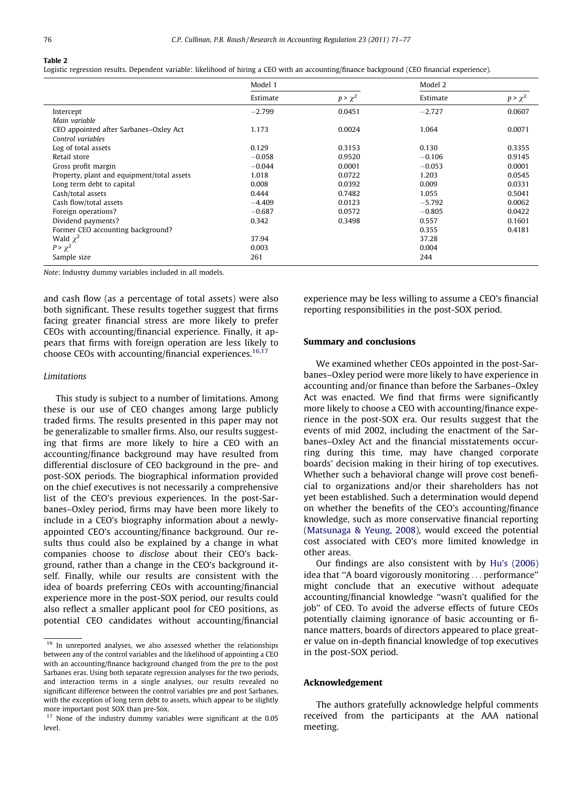#### <span id="page-6-0"></span>Table 2

Logistic regression results. Dependent variable: likelihood of hiring a CEO with an accounting/finance background (CEO financial experience).

|                                            | Model 1  |              | Model 2  |              |
|--------------------------------------------|----------|--------------|----------|--------------|
|                                            | Estimate | $p > \chi^2$ | Estimate | $p > \chi^2$ |
| Intercept                                  | $-2.799$ | 0.0451       | $-2.727$ | 0.0607       |
| Main variable                              |          |              |          |              |
| CEO appointed after Sarbanes-Oxley Act     | 1.173    | 0.0024       | 1.064    | 0.0071       |
| Control variables                          |          |              |          |              |
| Log of total assets                        | 0.129    | 0.3153       | 0.130    | 0.3355       |
| Retail store                               | $-0.058$ | 0.9520       | $-0.106$ | 0.9145       |
| Gross profit margin                        | $-0.044$ | 0.0001       | $-0.053$ | 0.0001       |
| Property, plant and equipment/total assets | 1.018    | 0.0722       | 1.203    | 0.0545       |
| Long term debt to capital                  | 0.008    | 0.0392       | 0.009    | 0.0331       |
| Cash/total assets                          | 0.444    | 0.7482       | 1.055    | 0.5041       |
| Cash flow/total assets                     | $-4.409$ | 0.0123       | $-5.792$ | 0.0062       |
| Foreign operations?                        | $-0.687$ | 0.0572       | $-0.805$ | 0.0422       |
| Dividend payments?                         | 0.342    | 0.3498       | 0.557    | 0.1601       |
| Former CEO accounting background?          |          |              | 0.355    | 0.4181       |
| Wald $\chi^2$                              | 37.94    |              | 37.28    |              |
| $P > \gamma^2$                             | 0.003    |              | 0.004    |              |
| Sample size                                | 261      |              | 244      |              |

Note: Industry dummy variables included in all models.

and cash flow (as a percentage of total assets) were also both significant. These results together suggest that firms facing greater financial stress are more likely to prefer CEOs with accounting/financial experience. Finally, it appears that firms with foreign operation are less likely to choose CEOs with accounting/financial experiences.<sup>16,17</sup>

### Limitations

This study is subject to a number of limitations. Among these is our use of CEO changes among large publicly traded firms. The results presented in this paper may not be generalizable to smaller firms. Also, our results suggesting that firms are more likely to hire a CEO with an accounting/finance background may have resulted from differential disclosure of CEO background in the pre- and post-SOX periods. The biographical information provided on the chief executives is not necessarily a comprehensive list of the CEO's previous experiences. In the post-Sarbanes–Oxley period, firms may have been more likely to include in a CEO's biography information about a newlyappointed CEO's accounting/finance background. Our results thus could also be explained by a change in what companies choose to disclose about their CEO's background, rather than a change in the CEO's background itself. Finally, while our results are consistent with the idea of boards preferring CEOs with accounting/financial experience more in the post-SOX period, our results could also reflect a smaller applicant pool for CEO positions, as potential CEO candidates without accounting/financial experience may be less willing to assume a CEO's financial reporting responsibilities in the post-SOX period.

#### Summary and conclusions

We examined whether CEOs appointed in the post-Sarbanes–Oxley period were more likely to have experience in accounting and/or finance than before the Sarbanes–Oxley Act was enacted. We find that firms were significantly more likely to choose a CEO with accounting/finance experience in the post-SOX era. Our results suggest that the events of mid 2002, including the enactment of the Sarbanes–Oxley Act and the financial misstatements occurring during this time, may have changed corporate boards' decision making in their hiring of top executives. Whether such a behavioral change will prove cost beneficial to organizations and/or their shareholders has not yet been established. Such a determination would depend on whether the benefits of the CEO's accounting/finance knowledge, such as more conservative financial reporting [\(Matsunaga & Yeung, 2008\)](#page-7-0), would exceed the potential cost associated with CEO's more limited knowledge in other areas.

Our findings are also consistent with by [Hu's \(2006\)](#page-7-0) idea that ''A board vigorously monitoring ... performance'' might conclude that an executive without adequate accounting/financial knowledge ''wasn't qualified for the job'' of CEO. To avoid the adverse effects of future CEOs potentially claiming ignorance of basic accounting or finance matters, boards of directors appeared to place greater value on in-depth financial knowledge of top executives in the post-SOX period.

## Acknowledgement

The authors gratefully acknowledge helpful comments received from the participants at the AAA national meeting.

<sup>&</sup>lt;sup>16</sup> In unreported analyses, we also assessed whether the relationships between any of the control variables and the likelihood of appointing a CEO with an accounting/finance background changed from the pre to the post Sarbanes eras. Using both separate regression analyses for the two periods, and interaction terms in a single analyses, our results revealed no significant difference between the control variables pre and post Sarbanes, with the exception of long term debt to assets, which appear to be slightly more important post SOX than pre-Sox.

<sup>&</sup>lt;sup>17</sup> None of the industry dummy variables were significant at the 0.05 level.